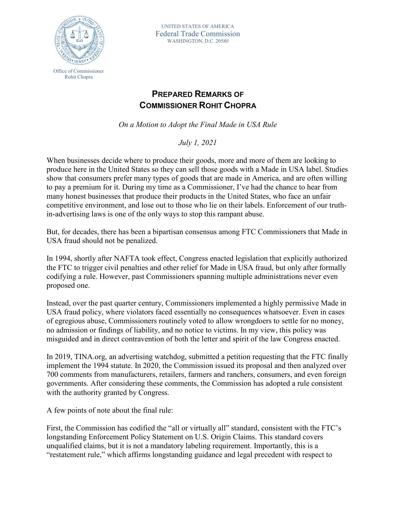

UNITED STATES OF AMERICA Federal Trade Commission WASHINGTON, D.C. 20580

## **PREPARED REMARKS OF COMMISSIONER ROHIT CHOPRA**

*On a Motion to Adopt the Final Made in USA Rule*

*July 1, 2021* 

When businesses decide where to produce their goods, more and more of them are looking to produce here in the United States so they can sell those goods with a Made in USA label. Studies show that consumers prefer many types of goods that are made in America, and are often willing to pay a premium for it. During my time as a Commissioner, I've had the chance to hear from many honest businesses that produce their products in the United States, who face an unfair competitive environment, and lose out to those who lie on their labels. Enforcement of our truthin-advertising laws is one of the only ways to stop this rampant abuse.

But, for decades, there has been a bipartisan consensus among FTC Commissioners that Made in USA fraud should not be penalized.

In 1994, shortly after NAFTA took effect, Congress enacted legislation that explicitly authorized the FTC to trigger civil penalties and other relief for Made in USA fraud, but only after formally codifying a rule. However, past Commissioners spanning multiple administrations never even proposed one.

Instead, over the past quarter century, Commissioners implemented a highly permissive Made in USA fraud policy, where violators faced essentially no consequences whatsoever. Even in cases of egregious abuse, Commissioners routinely voted to allow wrongdoers to settle for no money, no admission or findings of liability, and no notice to victims. In my view, this policy was misguided and in direct contravention of both the letter and spirit of the law Congress enacted.

In 2019, TINA.org, an advertising watchdog, submitted a petition requesting that the FTC finally implement the 1994 statute. In 2020, the Commission issued its proposal and then analyzed over 700 comments from manufacturers, retailers, farmers and ranchers, consumers, and even foreign governments. After considering these comments, the Commission has adopted a rule consistent with the authority granted by Congress.

A few points of note about the final rule:

First, the Commission has codified the "all or virtually all" standard, consistent with the FTC's longstanding Enforcement Policy Statement on U.S. Origin Claims. This standard covers unqualified claims, but it is not a mandatory labeling requirement. Importantly, this is a "restatement rule," which affirms longstanding guidance and legal precedent with respect to